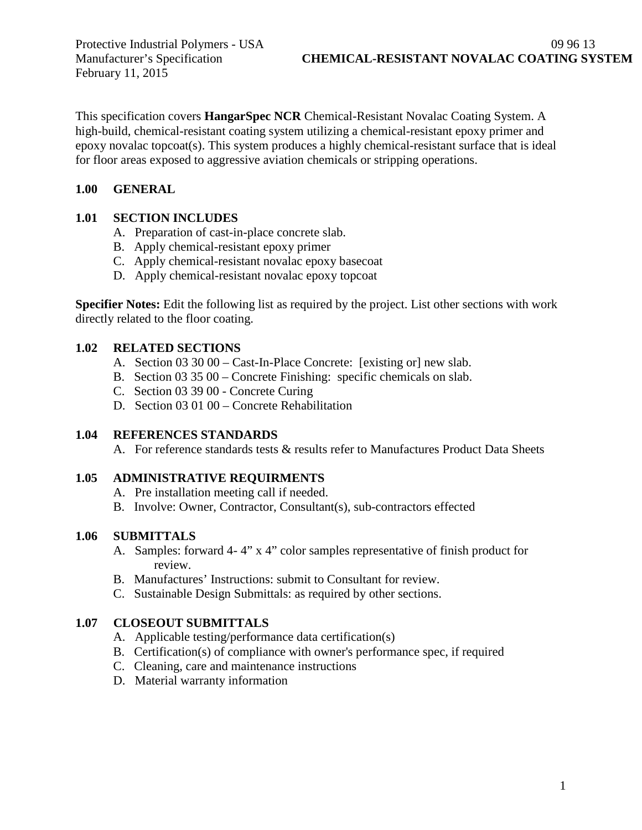February 11, 2015

This specification covers **HangarSpec NCR** Chemical-Resistant Novalac Coating System. A high-build, chemical-resistant coating system utilizing a chemical-resistant epoxy primer and epoxy novalac topcoat(s). This system produces a highly chemical-resistant surface that is ideal for floor areas exposed to aggressive aviation chemicals or stripping operations.

# **1.00 GENERAL**

# **1.01 SECTION INCLUDES**

- A. Preparation of cast-in-place concrete slab.
- B. Apply chemical-resistant epoxy primer
- C. Apply chemical-resistant novalac epoxy basecoat
- D. Apply chemical-resistant novalac epoxy topcoat

**Specifier Notes:** Edit the following list as required by the project. List other sections with work directly related to the floor coating.

# **1.02 RELATED SECTIONS**

- A. Section 03 30 00 Cast-In-Place Concrete: [existing or] new slab.
- B. Section 03 35 00 Concrete Finishing: specific chemicals on slab.
- C. Section 03 39 00 Concrete Curing
- D. Section 03 01 00 Concrete Rehabilitation

# **1.04 REFERENCES STANDARDS**

A. For reference standards tests & results refer to Manufactures Product Data Sheets

# **1.05 ADMINISTRATIVE REQUIRMENTS**

- A. Pre installation meeting call if needed.
- B. Involve: Owner, Contractor, Consultant(s), sub-contractors effected

# **1.06 SUBMITTALS**

- A. Samples: forward 4- 4" x 4" color samples representative of finish product for review.
- B. Manufactures' Instructions: submit to Consultant for review.
- C. Sustainable Design Submittals: as required by other sections.

# **1.07 CLOSEOUT SUBMITTALS**

- A. Applicable testing/performance data certification(s)
- B. Certification(s) of compliance with owner's performance spec, if required
- C. Cleaning, care and maintenance instructions
- D. Material warranty information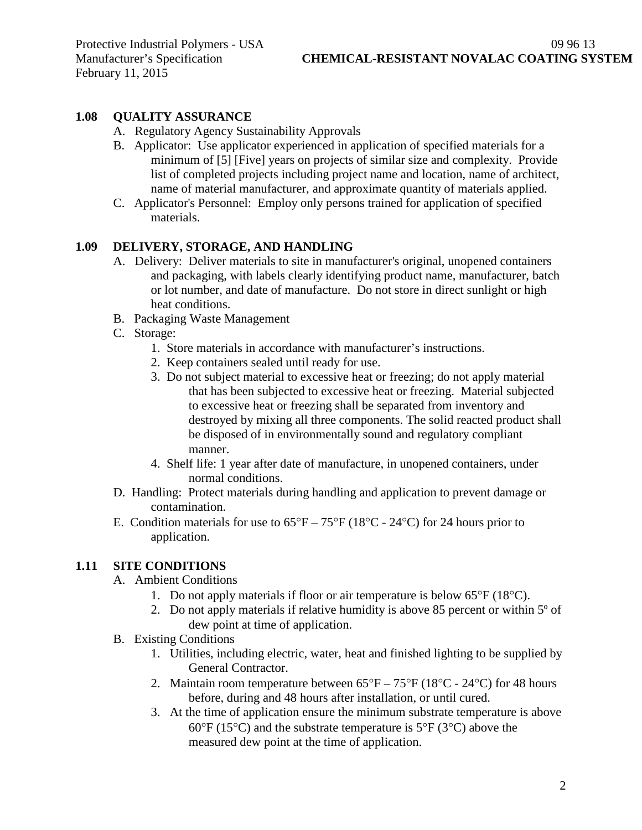# **1.08 QUALITY ASSURANCE**

- A. Regulatory Agency Sustainability Approvals
- B. Applicator: Use applicator experienced in application of specified materials for a minimum of [5] [Five] years on projects of similar size and complexity. Provide list of completed projects including project name and location, name of architect, name of material manufacturer, and approximate quantity of materials applied.
- C. Applicator's Personnel: Employ only persons trained for application of specified materials.

# **1.09 DELIVERY, STORAGE, AND HANDLING**

- A. Delivery: Deliver materials to site in manufacturer's original, unopened containers and packaging, with labels clearly identifying product name, manufacturer, batch or lot number, and date of manufacture. Do not store in direct sunlight or high heat conditions.
- B. Packaging Waste Management
- C. Storage:
	- 1. Store materials in accordance with manufacturer's instructions.
	- 2. Keep containers sealed until ready for use.
	- 3. Do not subject material to excessive heat or freezing; do not apply material that has been subjected to excessive heat or freezing. Material subjected to excessive heat or freezing shall be separated from inventory and destroyed by mixing all three components. The solid reacted product shall be disposed of in environmentally sound and regulatory compliant manner.
	- 4. Shelf life: 1 year after date of manufacture, in unopened containers, under normal conditions.
- D. Handling: Protect materials during handling and application to prevent damage or contamination.
- E. Condition materials for use to  $65^{\circ}F 75^{\circ}F (18^{\circ}C 24^{\circ}C)$  for 24 hours prior to application.

# **1.11 SITE CONDITIONS**

- A. Ambient Conditions
	- 1. Do not apply materials if floor or air temperature is below 65°F (18°C).
	- 2. Do not apply materials if relative humidity is above 85 percent or within 5º of dew point at time of application.
- B. Existing Conditions
	- 1. Utilities, including electric, water, heat and finished lighting to be supplied by General Contractor.
	- 2. Maintain room temperature between  $65^{\circ}F 75^{\circ}F (18^{\circ}C 24^{\circ}C)$  for 48 hours before, during and 48 hours after installation, or until cured.
	- 3. At the time of application ensure the minimum substrate temperature is above 60 $\degree$ F (15 $\degree$ C) and the substrate temperature is 5 $\degree$ F (3 $\degree$ C) above the measured dew point at the time of application.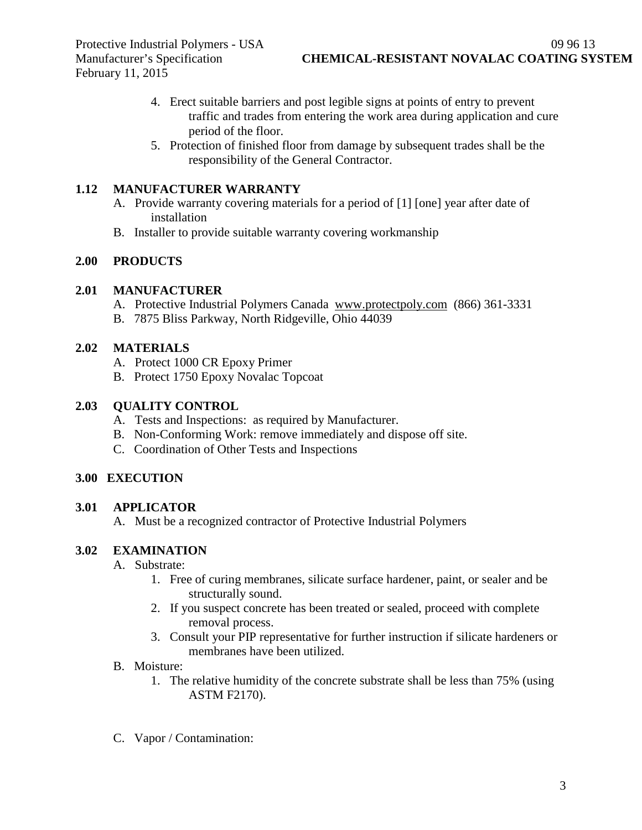- 4. Erect suitable barriers and post legible signs at points of entry to prevent traffic and trades from entering the work area during application and cure period of the floor.
- 5. Protection of finished floor from damage by subsequent trades shall be the responsibility of the General Contractor.

# **1.12 MANUFACTURER WARRANTY**

- A. Provide warranty covering materials for a period of [1] [one] year after date of installation
- B. Installer to provide suitable warranty covering workmanship

# **2.00 PRODUCTS**

# **2.01 MANUFACTURER**

- A. Protective Industrial Polymers Canada [www.protectpoly.com](http://www.protectpoly.com/) (866) 361-3331
- B. 7875 Bliss Parkway, North Ridgeville, Ohio 44039

# **2.02 MATERIALS**

- A. Protect 1000 CR Epoxy Primer
- B. Protect 1750 Epoxy Novalac Topcoat

# **2.03 QUALITY CONTROL**

- A. Tests and Inspections: as required by Manufacturer.
- B. Non-Conforming Work: remove immediately and dispose off site.
- C. Coordination of Other Tests and Inspections

# **3.00 EXECUTION**

# **3.01 APPLICATOR**

A. Must be a recognized contractor of Protective Industrial Polymers

# **3.02 EXAMINATION**

- A. Substrate:
	- 1. Free of curing membranes, silicate surface hardener, paint, or sealer and be structurally sound.
	- 2. If you suspect concrete has been treated or sealed, proceed with complete removal process.
	- 3. Consult your PIP representative for further instruction if silicate hardeners or membranes have been utilized.
- B. Moisture:
	- 1. The relative humidity of the concrete substrate shall be less than 75% (using ASTM F2170).
- C. Vapor / Contamination: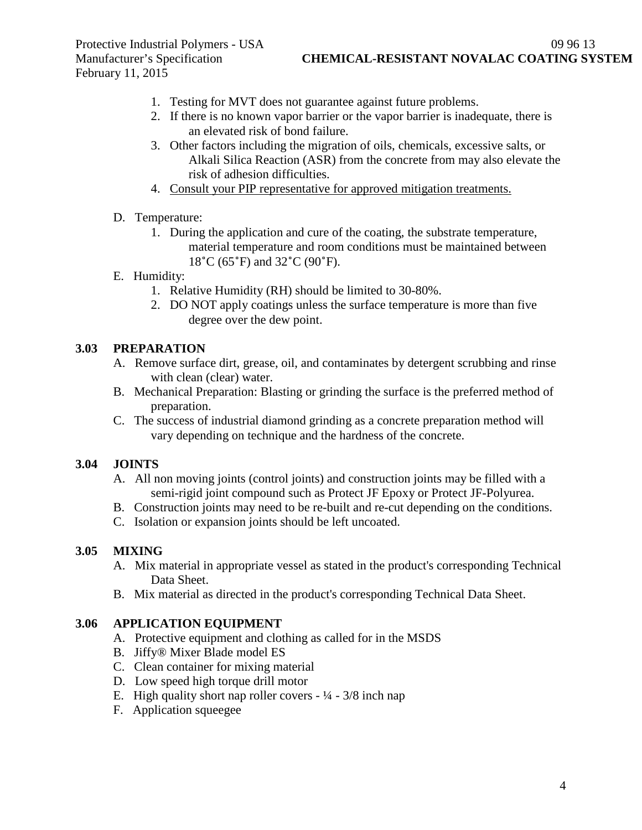Protective Industrial Polymers - USA 09 96 13 February 11, 2015

- 1. Testing for MVT does not guarantee against future problems.
- 2. If there is no known vapor barrier or the vapor barrier is inadequate, there is an elevated risk of bond failure.
- 3. Other factors including the migration of oils, chemicals, excessive salts, or Alkali Silica Reaction (ASR) from the concrete from may also elevate the risk of adhesion difficulties.
- 4. Consult your PIP representative for approved mitigation treatments.
- D. Temperature:
	- 1. During the application and cure of the coating, the substrate temperature, material temperature and room conditions must be maintained between 18˚C (65˚F) and 32˚C (90˚F).
- E. Humidity:
	- 1. Relative Humidity (RH) should be limited to 30-80%.
	- 2. DO NOT apply coatings unless the surface temperature is more than five degree over the dew point.

### **3.03 PREPARATION**

- A. Remove surface dirt, grease, oil, and contaminates by detergent scrubbing and rinse with clean (clear) water.
- B. Mechanical Preparation: Blasting or grinding the surface is the preferred method of preparation.
- C. The success of industrial diamond grinding as a concrete preparation method will vary depending on technique and the hardness of the concrete.

### **3.04 JOINTS**

- A. All non moving joints (control joints) and construction joints may be filled with a semi-rigid joint compound such as Protect JF Epoxy or Protect JF-Polyurea.
- B. Construction joints may need to be re-built and re-cut depending on the conditions.
- C. Isolation or expansion joints should be left uncoated.

### **3.05 MIXING**

- A. Mix material in appropriate vessel as stated in the product's corresponding Technical Data Sheet.
- B. Mix material as directed in the product's corresponding Technical Data Sheet.

### **3.06 APPLICATION EQUIPMENT**

- A. Protective equipment and clothing as called for in the MSDS
- B. Jiffy® Mixer Blade model ES
- C. Clean container for mixing material
- D. Low speed high torque drill motor
- E. High quality short nap roller covers  $\frac{1}{4} \frac{3}{8}$  inch nap
- F. Application squeegee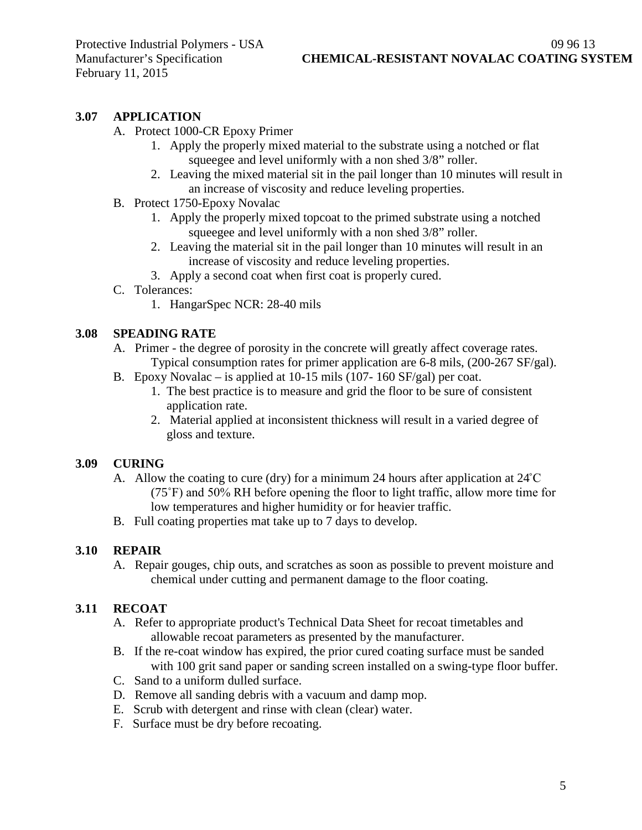### **3.07 APPLICATION**

- A. Protect 1000-CR Epoxy Primer
	- 1. Apply the properly mixed material to the substrate using a notched or flat squeegee and level uniformly with a non shed 3/8" roller.
	- 2. Leaving the mixed material sit in the pail longer than 10 minutes will result in an increase of viscosity and reduce leveling properties.
- B. Protect 1750-Epoxy Novalac
	- 1. Apply the properly mixed topcoat to the primed substrate using a notched squeegee and level uniformly with a non shed 3/8" roller.
	- 2. Leaving the material sit in the pail longer than 10 minutes will result in an increase of viscosity and reduce leveling properties.
	- 3. Apply a second coat when first coat is properly cured.
- C. Tolerances:
	- 1. HangarSpec NCR: 28-40 mils

#### **3.08 SPEADING RATE**

- A. Primer the degree of porosity in the concrete will greatly affect coverage rates. Typical consumption rates for primer application are 6-8 mils, (200-267 SF/gal).
- B. Epoxy Novalac is applied at 10-15 mils (107- 160 SF/gal) per coat.
	- 1. The best practice is to measure and grid the floor to be sure of consistent application rate.
	- 2. Material applied at inconsistent thickness will result in a varied degree of gloss and texture.

#### **3.09 CURING**

- A. Allow the coating to cure (dry) for a minimum 24 hours after application at 24˚C (75˚F) and 50% RH before opening the floor to light traffic, allow more time for low temperatures and higher humidity or for heavier traffic.
- B. Full coating properties mat take up to 7 days to develop.

### **3.10 REPAIR**

A. Repair gouges, chip outs, and scratches as soon as possible to prevent moisture and chemical under cutting and permanent damage to the floor coating.

### **3.11 RECOAT**

- A. Refer to appropriate product's Technical Data Sheet for recoat timetables and allowable recoat parameters as presented by the manufacturer.
- B. If the re-coat window has expired, the prior cured coating surface must be sanded with 100 grit sand paper or sanding screen installed on a swing-type floor buffer.
- C. Sand to a uniform dulled surface.
- D. Remove all sanding debris with a vacuum and damp mop.
- E. Scrub with detergent and rinse with clean (clear) water.
- F. Surface must be dry before recoating.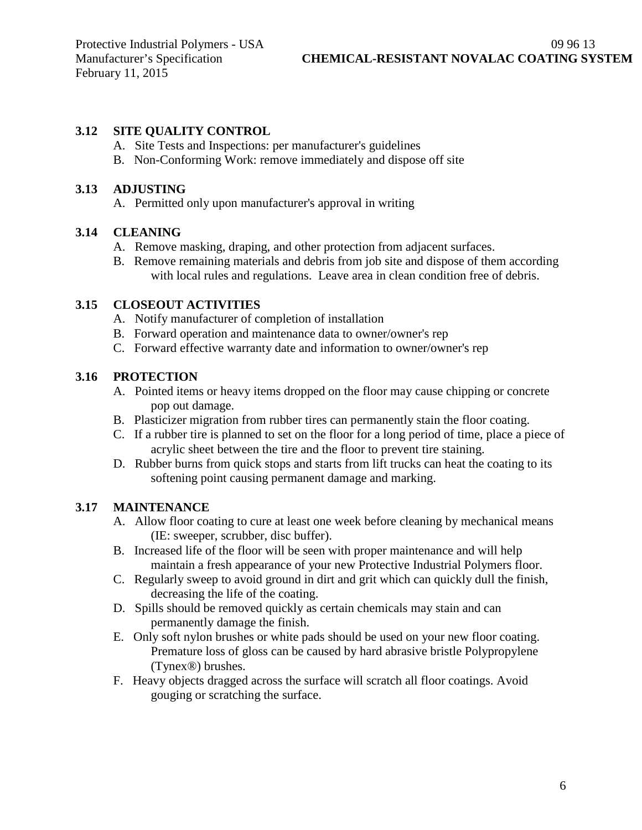# **3.12 SITE QUALITY CONTROL**

- A. Site Tests and Inspections: per manufacturer's guidelines
- B. Non-Conforming Work: remove immediately and dispose off site

### **3.13 ADJUSTING**

A. Permitted only upon manufacturer's approval in writing

# **3.14 CLEANING**

- A. Remove masking, draping, and other protection from adjacent surfaces.
- B. Remove remaining materials and debris from job site and dispose of them according with local rules and regulations. Leave area in clean condition free of debris.

# **3.15 CLOSEOUT ACTIVITIES**

- A. Notify manufacturer of completion of installation
- B. Forward operation and maintenance data to owner/owner's rep
- C. Forward effective warranty date and information to owner/owner's rep

# **3.16 PROTECTION**

- A. Pointed items or heavy items dropped on the floor may cause chipping or concrete pop out damage.
- B. Plasticizer migration from rubber tires can permanently stain the floor coating.
- C. If a rubber tire is planned to set on the floor for a long period of time, place a piece of acrylic sheet between the tire and the floor to prevent tire staining.
- D. Rubber burns from quick stops and starts from lift trucks can heat the coating to its softening point causing permanent damage and marking.

# **3.17 MAINTENANCE**

- A. Allow floor coating to cure at least one week before cleaning by mechanical means (IE: sweeper, scrubber, disc buffer).
- B. Increased life of the floor will be seen with proper maintenance and will help maintain a fresh appearance of your new Protective Industrial Polymers floor.
- C. Regularly sweep to avoid ground in dirt and grit which can quickly dull the finish, decreasing the life of the coating.
- D. Spills should be removed quickly as certain chemicals may stain and can permanently damage the finish.
- E. Only soft nylon brushes or white pads should be used on your new floor coating. Premature loss of gloss can be caused by hard abrasive bristle Polypropylene (Tynex®) brushes.
- F. Heavy objects dragged across the surface will scratch all floor coatings. Avoid gouging or scratching the surface.